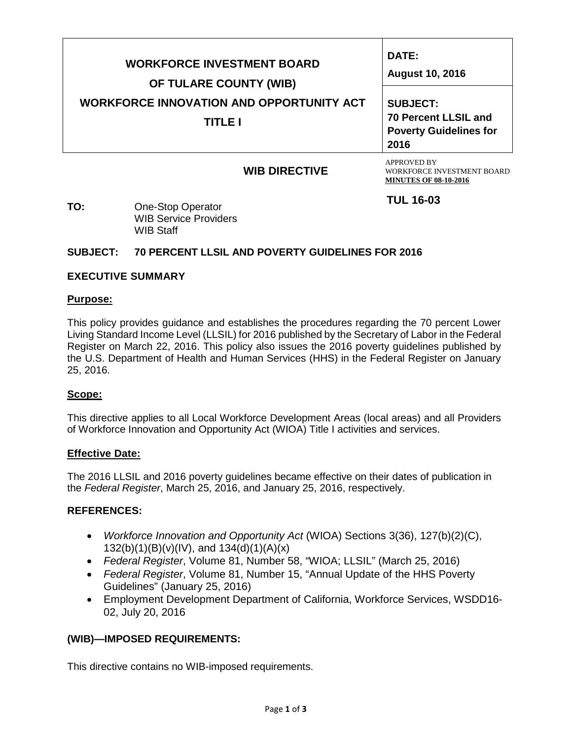| OF TULARE COUNTY (WIB)                          | DATE:<br><b>August 10, 2016</b> |  |  |
|-------------------------------------------------|---------------------------------|--|--|
| <b>WORKFORCE INNOVATION AND OPPORTUNITY ACT</b> | <b>SUBJECT:</b>                 |  |  |
| TITLE I                                         | <b>70 Percent LLSIL and</b>     |  |  |
| 2016                                            | <b>Poverty Guidelines for</b>   |  |  |

# **WIB DIRECTIVE**

APPROVED BY WORKFORCE INVESTMENT BOARD **MINUTES OF 08-10-2016.**

**TUL 16-03**

**TO:** One-Stop Operator WIB Service Providers WIB Staff

# **SUBJECT: 70 PERCENT LLSIL AND POVERTY GUIDELINES FOR 2016**

### **EXECUTIVE SUMMARY**

### **Purpose:**

This policy provides guidance and establishes the procedures regarding the 70 percent Lower Living Standard Income Level (LLSIL) for 2016 published by the Secretary of Labor in the Federal Register on March 22, 2016. This policy also issues the 2016 poverty guidelines published by the U.S. Department of Health and Human Services (HHS) in the Federal Register on January 25, 2016.

### **Scope:**

This directive applies to all Local Workforce Development Areas (local areas) and all Providers of Workforce Innovation and Opportunity Act (WIOA) Title I activities and services.

### **Effective Date:**

The 2016 LLSIL and 2016 poverty guidelines became effective on their dates of publication in the *Federal Register*, March 25, 2016, and January 25, 2016, respectively.

### **REFERENCES:**

- *Workforce Innovation and Opportunity Act* (WIOA) Sections 3(36), 127(b)(2)(C), 132(b)(1)(B)(v)(IV), and  $134(d)(1)(A)(x)$
- *Federal Register*, Volume 81, Number 58, "WIOA; LLSIL" (March 25, 2016)
- *Federal Register*, Volume 81, Number 15, "Annual Update of the HHS Poverty Guidelines" (January 25, 2016)
- Employment Development Department of California, Workforce Services, WSDD16- 02, July 20, 2016

## **(WIB)—IMPOSED REQUIREMENTS:**

This directive contains no WIB-imposed requirements.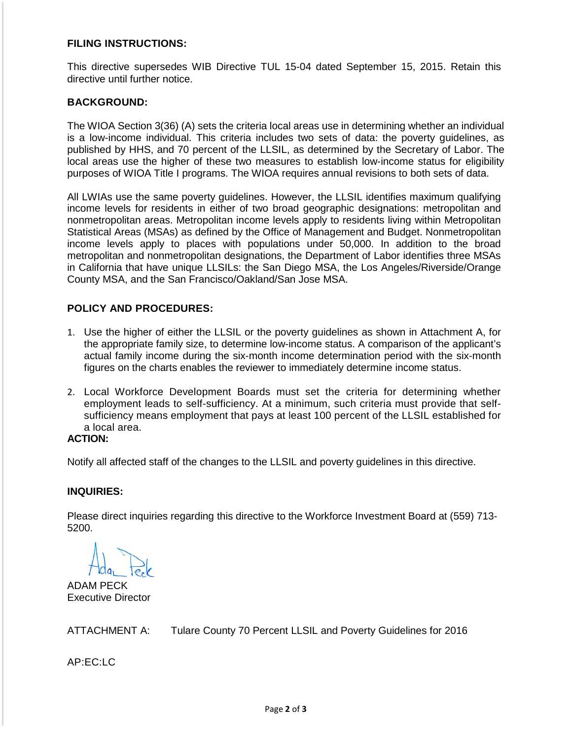## **FILING INSTRUCTIONS:**

This directive supersedes WIB Directive TUL 15-04 dated September 15, 2015. Retain this directive until further notice.

### **BACKGROUND:**

The WIOA Section 3(36) (A) sets the criteria local areas use in determining whether an individual is a low-income individual. This criteria includes two sets of data: the poverty guidelines, as published by HHS, and 70 percent of the LLSIL, as determined by the Secretary of Labor. The local areas use the higher of these two measures to establish low-income status for eligibility purposes of WIOA Title I programs. The WIOA requires annual revisions to both sets of data.

All LWIAs use the same poverty guidelines. However, the LLSIL identifies maximum qualifying income levels for residents in either of two broad geographic designations: metropolitan and nonmetropolitan areas. Metropolitan income levels apply to residents living within Metropolitan Statistical Areas (MSAs) as defined by the Office of Management and Budget. Nonmetropolitan income levels apply to places with populations under 50,000. In addition to the broad metropolitan and nonmetropolitan designations, the Department of Labor identifies three MSAs in California that have unique LLSILs: the San Diego MSA, the Los Angeles/Riverside/Orange County MSA, and the San Francisco/Oakland/San Jose MSA.

# **POLICY AND PROCEDURES:**

- 1. Use the higher of either the LLSIL or the poverty guidelines as shown in Attachment A, for the appropriate family size, to determine low-income status. A comparison of the applicant's actual family income during the six-month income determination period with the six-month figures on the charts enables the reviewer to immediately determine income status.
- 2. Local Workforce Development Boards must set the criteria for determining whether employment leads to self-sufficiency. At a minimum, such criteria must provide that selfsufficiency means employment that pays at least 100 percent of the LLSIL established for a local area.

# **ACTION:**

Notify all affected staff of the changes to the LLSIL and poverty guidelines in this directive.

### **INQUIRIES:**

Please direct inquiries regarding this directive to the Workforce Investment Board at (559) 713- 5200.

ADAM PECK Executive Director

ATTACHMENT A: Tulare County 70 Percent LLSIL and Poverty Guidelines for 2016

AP:EC:LC